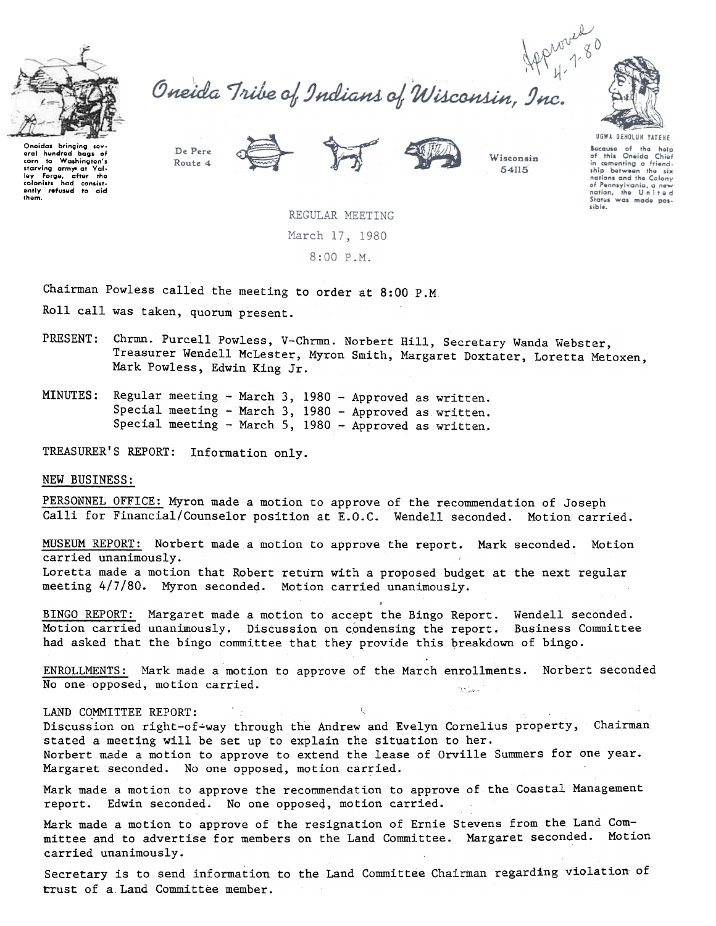

Oneida Tribe of Indians of Wisconsin, Inc.



Onoidas bringing sov oral hundrod bags of<br>corn to Washington's Washington's starving army at Valloy Forgo, aftor tha<br>calonists had consistontly refused to aid<br>them.

De Pere Route 4





Wisconsin 54115

UGWA DEHOLUH YATEHE Because of the help<br>of this Oneida Chief in comenting a friend-<br>ship between the six nations and the Colony of Pennsylvania, a new Status was made possible.

REGULAR MEETING March 17, 1980  $8:00 P.M.$ 

Chairman Powless called the meeting to order at 8:00 P.M

Roll call was taken, quorum present.

- PRESENT: Chrmn. Purcell Powless, V-Chrmn. Norbert Hill, Secretary Wanda Webster, Treasurer Wendell McLester, Myron Smith, Margaret Doxtater, Loretta Metoxen, Mark Powless, Edwin King Jr.
- MINUTES: Regular meeting - March 3, 1980 - Approved as written. Special meeting - March 3, 1980 - Approved as written. Special meeting - March 5, 1980 - Approved as written.

TREASURER'S REPORT: Information only.

NEW BUSINESS:

PERSONNEL OFFICE: Myron made a motion to approve of the recommendation of Joseph Calli for Financial/Counselor position at E.O.C. Wendell seconded. Motion carried.

MUSEUM REPORT: Norbert made a motion to approve the report. Mark seconded. Motion carried unanimously. Loretta made a motion that Robert return with a proposed budget at the next regular meeting 4/7/80. Myron seconded. Motion carried unanimously.

BINGO REPORT: Margaret made a motion to accept the Bingo Report. Wendell seconded. Motion carried unanimously. Discussion on condensing the report. Business Committee had asked that the bingo committee that they provide this breakdown of bingo.

ENROLLMENTS: Mark made a motion to approve of the March enrollments. Norbert seconde No one opposed, motion carried.

LAND COMMITTEE REPORT:

Discussion on right-of-way through the Andrew and Evelyn Cornelius property, Chairman stated a meeting will be set up to explain the situation to her. Norbert made a motion to approve to extend the lease of Orville Summers for one year. Margaret seconded. No one opposed, motion carried.

Mark made a motion to approve the recommendation to approve of the Coastal Management report. Edwin seconded. No one opposed, motion carried.

Mark made a motion to approve of the resignation of Ernie Stevens from the Land Committee and to advertise for members on the Land Committee. Margaret seconded. Motion carried unanimously.

Secretary is to send information to the Land Committee Chairman regarding violation of trust of a Land Committee member.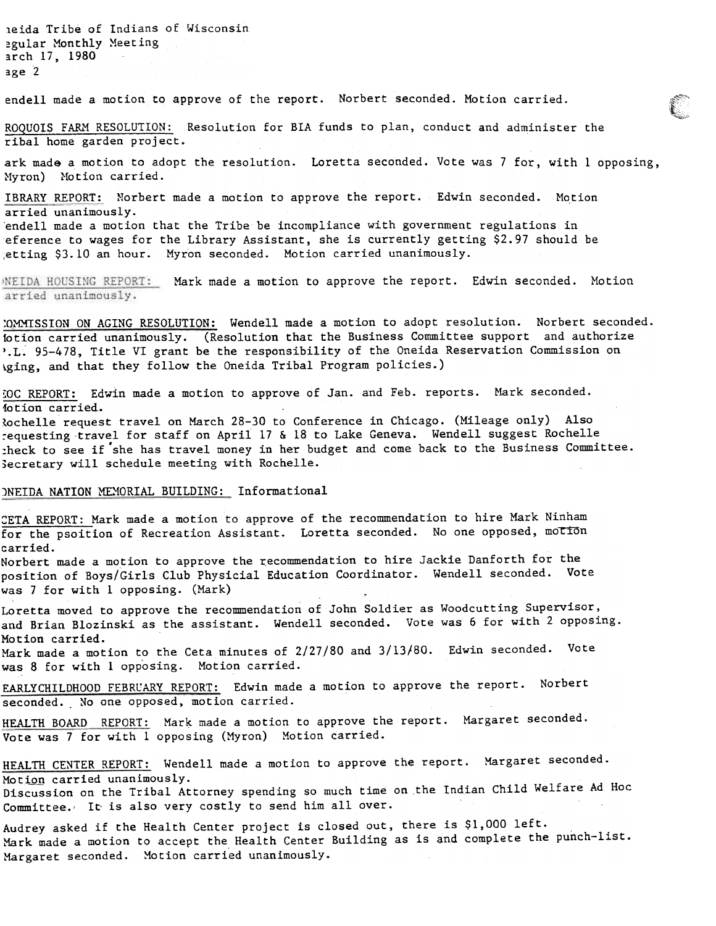leida Tribe of Indians of Wisconsin egular Monthly Meeting 3.rch 17, 1980  $3ge$  2

endell made a motion to approve of the report. Norbert seconded. Motion carri

ROOUOIS FARM RESOLUTION: Resolution for BIA funds to plan, conduct and administer the ribal home garden project.

ark made a motion to adopt the resolution. Loretta seconded. Vote was 7 for, with 1 opposin Myron) Motion carried.

 $\epsilon_{\rm{esc}}$ 

IBRARY REPORT: Norbert made a motion to approve the report. Edwin seconded. Motion arried unanimously.

endell made a motion that the Tribe be incompliance with government regulations in eference to wages for the Library Assistant, she is currently getting \$2.97 should be ;etting \$3.10 an hour. Myron seconded. Motion carried unanimously.

NEIDA HOUSING REPORT: Mark made a motion to approve the report. Edwin seconded. Motion arried unanimously.

:OMMISSION ON AGING RESOLUTION: Wendell made a motion to adopt resolution. Norbert seconded. fotion carried unanimously. (Resolution that the Business Committee support and authorize ).L~ 95-478, Title VI grant be the responsibility of the Oneida Reservation Commission on \.ging, and that they follow the Oneida Tribal Program policies.)

~OC REPORT: Edwin made a motion to approve of Jan. and Feb. reports. Mark seconded. 1otion carried.

~ochelle request travel on March 28-30 to Conference in Chicago. (Mileage only) Also ~equesting-travel for staff on April 17 & 18 to Lake Geneva. Wendell suggest Rochelle :heck to see if 'she has travel money in her budget and come back to the Business Committee. >ecretary will schedule meeting with Rochelle.

## )NEIDA NATION MEMORIAL BUILDING: Informational

:ETA REPORT: Mark made a motion to approve of the recommendation to hire Mark Ninham for the psoition of Recreation Assistant. Loretta seconded. No one opposed, motion

Norbert made a motion to approve the recommendation to hire Jackie Danforth for the position of Boys/Girls Club Physicial Education Coordinator. Wendell seconded. Vote was 7 for with 1 opposing. (Mark)

Loretta moved to approve the recommendation of John Soldier as Woodcutting Supervisor, and Brian Blozinski as the assistant. Wendell seconded. Vote was 6 for with 2 opposing. Motion carried.

Mark made a motion to the Ceta minutes of 2/27/80 and 3/13/80. Edwin seconded. Vote was 8 for with 1 opposing. Motion carried.

EARLY CHILDHOOD FEBRUARY REPORT: Edwin made a motion to approve the report. Norbert seconded. No one opposed, motion carried.

HEALTH BOARD REPORT: Mark made a motion to approve the report. Margaret seconded. Vote was 7 for with 1 opposing (Myron) Motion carried.

HEALTH CENTER REPORT: Wendell made a motion to approve the report. Margaret seconded

Motion carried unanimously.<br>Discussion on the Tribal Attorney spending so much time on the Indian Child Welfare Ad Hoc Committee. It is also very costly to send him all over.

Audrey asked if the Health Center project is closed out, there is \$1,000 left. Mark made a motion to accept the Health Center Building as is and complete the punch-list. Margaret seconded. Motion carried unanimously.